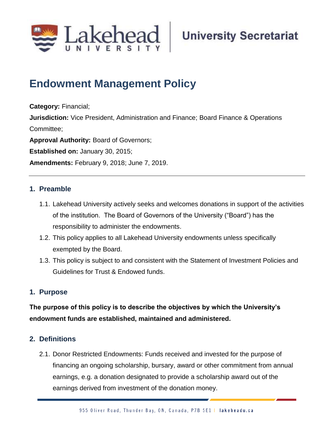

# **Endowment Management Policy**

**Category:** Financial; **Jurisdiction:** Vice President, Administration and Finance; Board Finance & Operations Committee; **Approval Authority:** Board of Governors; **Established on:** January 30, 2015; **Amendments:** February 9, 2018; June 7, 2019.

# **1. Preamble**

- 1.1. Lakehead University actively seeks and welcomes donations in support of the activities of the institution. The Board of Governors of the University ("Board") has the responsibility to administer the endowments.
- 1.2. This policy applies to all Lakehead University endowments unless specifically exempted by the Board.
- 1.3. This policy is subject to and consistent with the Statement of Investment Policies and Guidelines for Trust & Endowed funds.

# **1. Purpose**

**The purpose of this policy is to describe the objectives by which the University's endowment funds are established, maintained and administered.**

# **2. Definitions**

2.1. Donor Restricted Endowments: Funds received and invested for the purpose of financing an ongoing scholarship, bursary, award or other commitment from annual earnings, e.g. a donation designated to provide a scholarship award out of the earnings derived from investment of the donation money.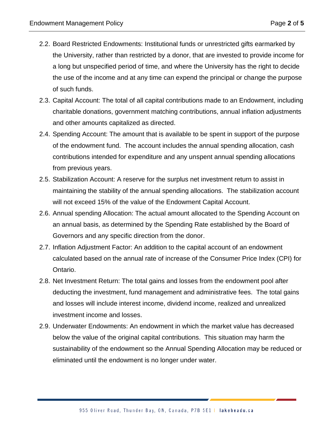- 2.2. Board Restricted Endowments: Institutional funds or unrestricted gifts earmarked by the University, rather than restricted by a donor, that are invested to provide income for a long but unspecified period of time, and where the University has the right to decide the use of the income and at any time can expend the principal or change the purpose of such funds.
- 2.3. Capital Account: The total of all capital contributions made to an Endowment, including charitable donations, government matching contributions, annual inflation adjustments and other amounts capitalized as directed.
- 2.4. Spending Account: The amount that is available to be spent in support of the purpose of the endowment fund. The account includes the annual spending allocation, cash contributions intended for expenditure and any unspent annual spending allocations from previous years.
- 2.5. Stabilization Account: A reserve for the surplus net investment return to assist in maintaining the stability of the annual spending allocations. The stabilization account will not exceed 15% of the value of the Endowment Capital Account.
- 2.6. Annual spending Allocation: The actual amount allocated to the Spending Account on an annual basis, as determined by the Spending Rate established by the Board of Governors and any specific direction from the donor.
- 2.7. Inflation Adjustment Factor: An addition to the capital account of an endowment calculated based on the annual rate of increase of the Consumer Price Index (CPI) for Ontario.
- 2.8. Net Investment Return: The total gains and losses from the endowment pool after deducting the investment, fund management and administrative fees. The total gains and losses will include interest income, dividend income, realized and unrealized investment income and losses.
- 2.9. Underwater Endowments: An endowment in which the market value has decreased below the value of the original capital contributions. This situation may harm the sustainability of the endowment so the Annual Spending Allocation may be reduced or eliminated until the endowment is no longer under water.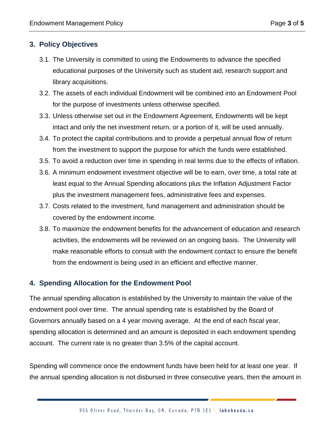# **3. Policy Objectives**

- 3.1. The University is committed to using the Endowments to advance the specified educational purposes of the University such as student aid, research support and library acquisitions.
- 3.2. The assets of each individual Endowment will be combined into an Endowment Pool for the purpose of investments unless otherwise specified.
- 3.3. Unless otherwise set out in the Endowment Agreement, Endowments will be kept intact and only the net investment return, or a portion of it, will be used annually.
- 3.4. To protect the capital contributions and to provide a perpetual annual flow of return from the investment to support the purpose for which the funds were established.
- 3.5. To avoid a reduction over time in spending in real terms due to the effects of inflation.
- 3.6. A minimum endowment investment objective will be to earn, over time, a total rate at least equal to the Annual Spending allocations plus the Inflation Adjustment Factor plus the investment management fees, administrative fees and expenses.
- 3.7. Costs related to the investment, fund management and administration should be covered by the endowment income.
- 3.8. To maximize the endowment benefits for the advancement of education and research activities, the endowments will be reviewed on an ongoing basis. The University will make reasonable efforts to consult with the endowment contact to ensure the benefit from the endowment is being used in an efficient and effective manner.

#### **4. Spending Allocation for the Endowment Pool**

The annual spending allocation is established by the University to maintain the value of the endowment pool over time. The annual spending rate is established by the Board of Governors annually based on a 4 year moving average. At the end of each fiscal year, spending allocation is determined and an amount is deposited in each endowment spending account. The current rate is no greater than 3.5% of the capital account.

Spending will commence once the endowment funds have been held for at least one year. If the annual spending allocation is not disbursed in three consecutive years, then the amount in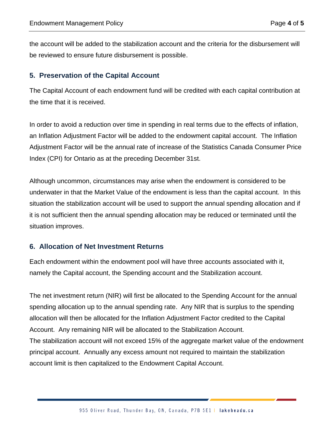the account will be added to the stabilization account and the criteria for the disbursement will be reviewed to ensure future disbursement is possible.

#### **5. Preservation of the Capital Account**

The Capital Account of each endowment fund will be credited with each capital contribution at the time that it is received.

In order to avoid a reduction over time in spending in real terms due to the effects of inflation, an Inflation Adjustment Factor will be added to the endowment capital account. The Inflation Adjustment Factor will be the annual rate of increase of the Statistics Canada Consumer Price Index (CPI) for Ontario as at the preceding December 31st.

Although uncommon, circumstances may arise when the endowment is considered to be underwater in that the Market Value of the endowment is less than the capital account. In this situation the stabilization account will be used to support the annual spending allocation and if it is not sufficient then the annual spending allocation may be reduced or terminated until the situation improves.

# **6. Allocation of Net Investment Returns**

Each endowment within the endowment pool will have three accounts associated with it, namely the Capital account, the Spending account and the Stabilization account.

The net investment return (NIR) will first be allocated to the Spending Account for the annual spending allocation up to the annual spending rate. Any NIR that is surplus to the spending allocation will then be allocated for the Inflation Adjustment Factor credited to the Capital Account. Any remaining NIR will be allocated to the Stabilization Account. The stabilization account will not exceed 15% of the aggregate market value of the endowment principal account. Annually any excess amount not required to maintain the stabilization

account limit is then capitalized to the Endowment Capital Account.